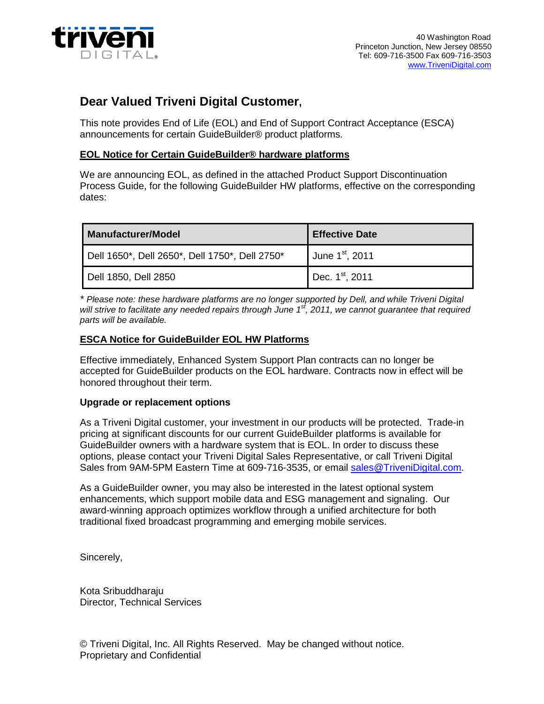

# **Dear Valued Triveni Digital Customer,**

This note provides End of Life (EOL) and End of Support Contract Acceptance (ESCA) announcements for certain GuideBuilder® product platforms.

## **EOL Notice for Certain GuideBuilder® hardware platforms**

We are announcing EOL, as defined in the attached Product Support Discontinuation Process Guide, for the following GuideBuilder HW platforms, effective on the corresponding dates:

| <b>Manufacturer/Model</b>                      | <b>Effective Date</b>         |
|------------------------------------------------|-------------------------------|
| Dell 1650*, Dell 2650*, Dell 1750*, Dell 2750* | June $1st$ , 2011             |
| Dell 1850, Dell 2850                           | $\blacksquare$ Dec. 1st, 2011 |

*\* Please note: these hardware platforms are no longer supported by Dell, and while Triveni Digital will strive to facilitate any needed repairs through June 1st, 2011, we cannot guarantee that required parts will be available.*

# **ESCA Notice for GuideBuilder EOL HW Platforms**

Effective immediately, Enhanced System Support Plan contracts can no longer be accepted for GuideBuilder products on the EOL hardware. Contracts now in effect will be honored throughout their term.

## **Upgrade or replacement options**

As a Triveni Digital customer, your investment in our products will be protected. Trade-in pricing at significant discounts for our current GuideBuilder platforms is available for GuideBuilder owners with a hardware system that is EOL. In order to discuss these options, please contact your Triveni Digital Sales Representative, or call Triveni Digital Sales from 9AM-5PM Eastern Time at 609-716-3535, or email [sales@TriveniDigital.com.](mailto:sales@TriveniDigital.com)

As a GuideBuilder owner, you may also be interested in the latest optional system enhancements, which support mobile data and ESG management and signaling. Our award-winning approach optimizes workflow through a unified architecture for both traditional fixed broadcast programming and emerging mobile services.

Sincerely,

Kota Sribuddharaju Director, Technical Services

© Triveni Digital, Inc. All Rights Reserved. May be changed without notice. Proprietary and Confidential